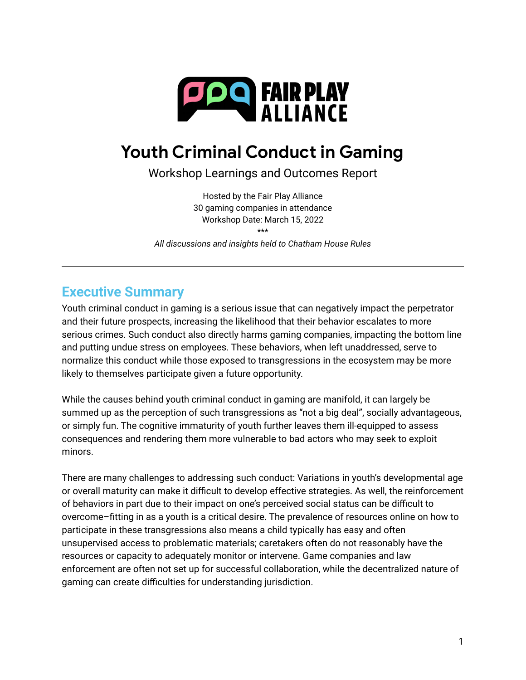

# **Youth Criminal Conduct in Gaming**

Workshop Learnings and Outcomes Report

Hosted by the Fair Play Alliance 30 gaming companies in attendance Workshop Date: March 15, 2022 \*\*\*

*All discussions and insights held to Chatham House Rules*

## **Executive Summary**

Youth criminal conduct in gaming is a serious issue that can negatively impact the perpetrator and their future prospects, increasing the likelihood that their behavior escalates to more serious crimes. Such conduct also directly harms gaming companies, impacting the bottom line and putting undue stress on employees. These behaviors, when left unaddressed, serve to normalize this conduct while those exposed to transgressions in the ecosystem may be more likely to themselves participate given a future opportunity.

While the causes behind youth criminal conduct in gaming are manifold, it can largely be summed up as the perception of such transgressions as "not a big deal", socially advantageous, or simply fun. The cognitive immaturity of youth further leaves them ill-equipped to assess consequences and rendering them more vulnerable to bad actors who may seek to exploit minors.

There are many challenges to addressing such conduct: Variations in youth's developmental age or overall maturity can make it difficult to develop effective strategies. As well, the reinforcement of behaviors in part due to their impact on one's perceived social status can be difficult to overcome–fitting in as a youth is a critical desire. The prevalence of resources online on how to participate in these transgressions also means a child typically has easy and often unsupervised access to problematic materials; caretakers often do not reasonably have the resources or capacity to adequately monitor or intervene. Game companies and law enforcement are often not set up for successful collaboration, while the decentralized nature of gaming can create difficulties for understanding jurisdiction.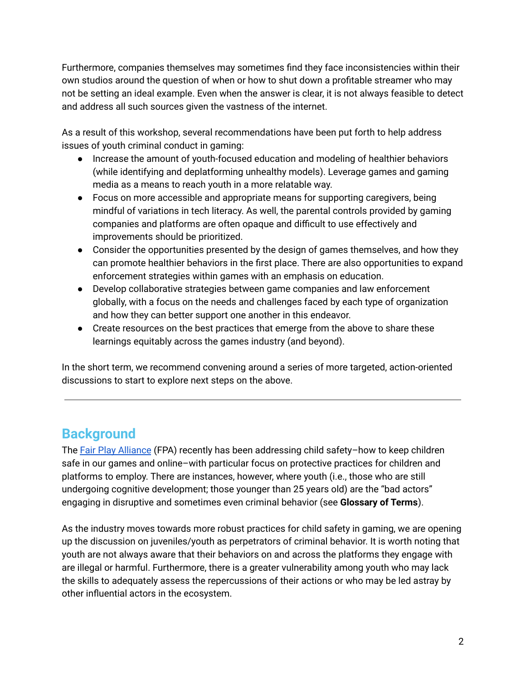Furthermore, companies themselves may sometimes find they face inconsistencies within their own studios around the question of when or how to shut down a profitable streamer who may not be setting an ideal example. Even when the answer is clear, it is not always feasible to detect and address all such sources given the vastness of the internet.

As a result of this workshop, several recommendations have been put forth to help address issues of youth criminal conduct in gaming:

- Increase the amount of youth-focused education and modeling of healthier behaviors (while identifying and deplatforming unhealthy models). Leverage games and gaming media as a means to reach youth in a more relatable way.
- Focus on more accessible and appropriate means for supporting caregivers, being mindful of variations in tech literacy. As well, the parental controls provided by gaming companies and platforms are often opaque and difficult to use effectively and improvements should be prioritized.
- Consider the opportunities presented by the design of games themselves, and how they can promote healthier behaviors in the first place. There are also opportunities to expand enforcement strategies within games with an emphasis on education.
- Develop collaborative strategies between game companies and law enforcement globally, with a focus on the needs and challenges faced by each type of organization and how they can better support one another in this endeavor.
- Create resources on the best practices that emerge from the above to share these learnings equitably across the games industry (and beyond).

In the short term, we recommend convening around a series of more targeted, action-oriented discussions to start to explore next steps on the above.

## **Background**

The Fair Play [Alliance](https://fairplayalliance.org/) (FPA) recently has been addressing child safety–how to keep children safe in our games and online–with particular focus on protective practices for children and platforms to employ. There are instances, however, where youth (i.e., those who are still undergoing cognitive development; those younger than 25 years old) are the "bad actors" engaging in disruptive and sometimes even criminal behavior (see **Glossary of Terms**).

As the industry moves towards more robust practices for child safety in gaming, we are opening up the discussion on juveniles/youth as perpetrators of criminal behavior. It is worth noting that youth are not always aware that their behaviors on and across the platforms they engage with are illegal or harmful. Furthermore, there is a greater vulnerability among youth who may lack the skills to adequately assess the repercussions of their actions or who may be led astray by other influential actors in the ecosystem.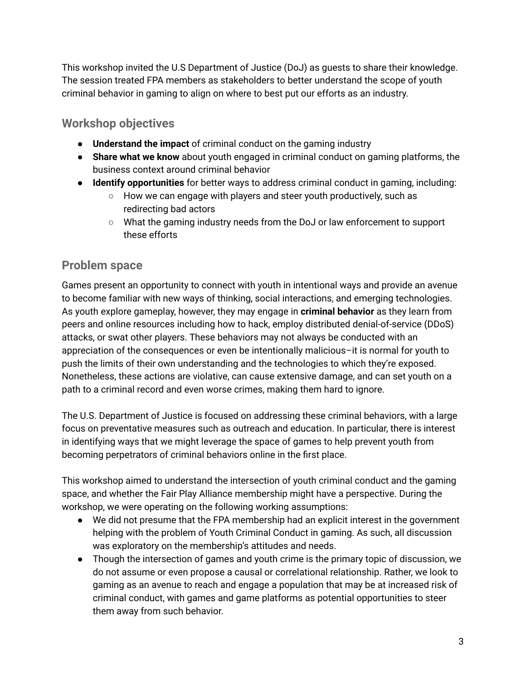This workshop invited the U.S Department of Justice (DoJ) as guests to share their knowledge. The session treated FPA members as stakeholders to better understand the scope of youth criminal behavior in gaming to align on where to best put our efforts as an industry.

### **Workshop objectives**

- **Understand the impact** of criminal conduct on the gaming industry
- **Share what we know** about youth engaged in criminal conduct on gaming platforms, the business context around criminal behavior
- **● Identify opportunities** for better ways to address criminal conduct in gaming, including:
	- **○** How we can engage with players and steer youth productively, such as redirecting bad actors
	- **○** What the gaming industry needs from the DoJ or law enforcement to support these efforts

## **Problem space**

Games present an opportunity to connect with youth in intentional ways and provide an avenue to become familiar with new ways of thinking, social interactions, and emerging technologies. As youth explore gameplay, however, they may engage in **criminal behavior** as they learn from peers and online resources including how to hack, employ distributed denial-of-service (DDoS) attacks, or swat other players. These behaviors may not always be conducted with an appreciation of the consequences or even be intentionally malicious–it is normal for youth to push the limits of their own understanding and the technologies to which they're exposed. Nonetheless, these actions are violative, can cause extensive damage, and can set youth on a path to a criminal record and even worse crimes, making them hard to ignore.

The U.S. Department of Justice is focused on addressing these criminal behaviors, with a large focus on preventative measures such as outreach and education. In particular, there is interest in identifying ways that we might leverage the space of games to help prevent youth from becoming perpetrators of criminal behaviors online in the first place.

This workshop aimed to understand the intersection of youth criminal conduct and the gaming space, and whether the Fair Play Alliance membership might have a perspective. During the workshop, we were operating on the following working assumptions:

- We did not presume that the FPA membership had an explicit interest in the government helping with the problem of Youth Criminal Conduct in gaming. As such, all discussion was exploratory on the membership's attitudes and needs.
- Though the intersection of games and youth crime is the primary topic of discussion, we do not assume or even propose a causal or correlational relationship. Rather, we look to gaming as an avenue to reach and engage a population that may be at increased risk of criminal conduct, with games and game platforms as potential opportunities to steer them away from such behavior.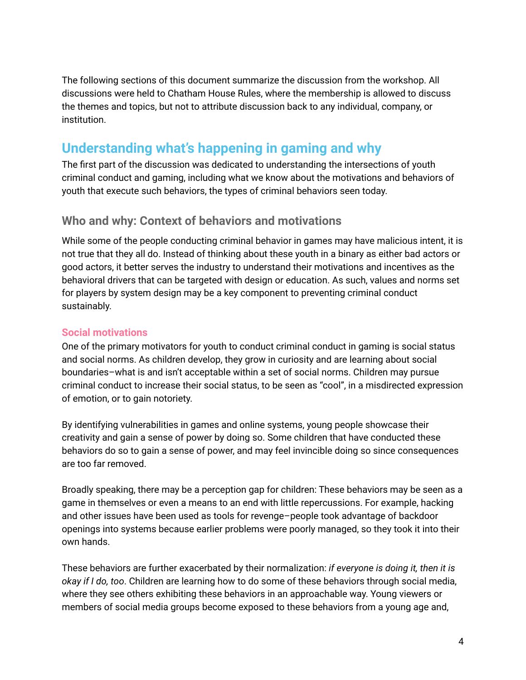The following sections of this document summarize the discussion from the workshop. All discussions were held to Chatham House Rules, where the membership is allowed to discuss the themes and topics, but not to attribute discussion back to any individual, company, or institution.

## **Understanding what's happening in gaming and why**

The first part of the discussion was dedicated to understanding the intersections of youth criminal conduct and gaming, including what we know about the motivations and behaviors of youth that execute such behaviors, the types of criminal behaviors seen today.

#### **Who and why: Context of behaviors and motivations**

While some of the people conducting criminal behavior in games may have malicious intent, it is not true that they all do. Instead of thinking about these youth in a binary as either bad actors or good actors, it better serves the industry to understand their motivations and incentives as the behavioral drivers that can be targeted with design or education. As such, values and norms set for players by system design may be a key component to preventing criminal conduct sustainably.

#### **Social motivations**

One of the primary motivators for youth to conduct criminal conduct in gaming is social status and social norms. As children develop, they grow in curiosity and are learning about social boundaries–what is and isn't acceptable within a set of social norms. Children may pursue criminal conduct to increase their social status, to be seen as "cool", in a misdirected expression of emotion, or to gain notoriety.

By identifying vulnerabilities in games and online systems, young people showcase their creativity and gain a sense of power by doing so. Some children that have conducted these behaviors do so to gain a sense of power, and may feel invincible doing so since consequences are too far removed.

Broadly speaking, there may be a perception gap for children: These behaviors may be seen as a game in themselves or even a means to an end with little repercussions. For example, hacking and other issues have been used as tools for revenge–people took advantage of backdoor openings into systems because earlier problems were poorly managed, so they took it into their own hands.

These behaviors are further exacerbated by their normalization: *if everyone is doing it, then it is okay if I do, too*. Children are learning how to do some of these behaviors through social media, where they see others exhibiting these behaviors in an approachable way. Young viewers or members of social media groups become exposed to these behaviors from a young age and,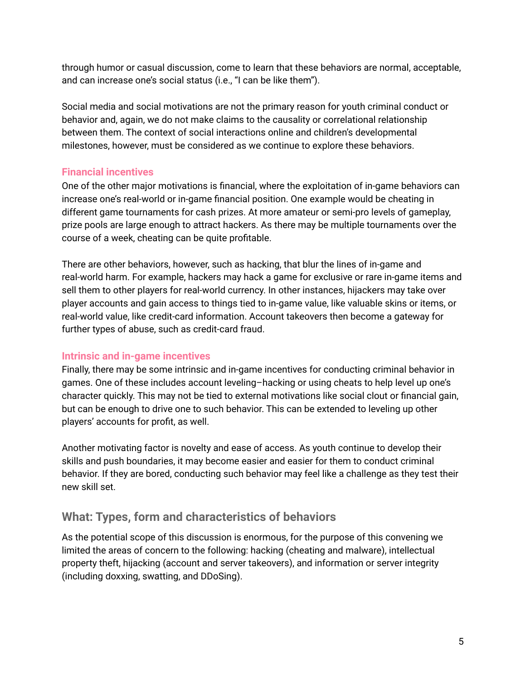through humor or casual discussion, come to learn that these behaviors are normal, acceptable, and can increase one's social status (i.e., "I can be like them").

Social media and social motivations are not the primary reason for youth criminal conduct or behavior and, again, we do not make claims to the causality or correlational relationship between them. The context of social interactions online and children's developmental milestones, however, must be considered as we continue to explore these behaviors.

#### **Financial incentives**

One of the other major motivations is financial, where the exploitation of in-game behaviors can increase one's real-world or in-game financial position. One example would be cheating in different game tournaments for cash prizes. At more amateur or semi-pro levels of gameplay, prize pools are large enough to attract hackers. As there may be multiple tournaments over the course of a week, cheating can be quite profitable.

There are other behaviors, however, such as hacking, that blur the lines of in-game and real-world harm. For example, hackers may hack a game for exclusive or rare in-game items and sell them to other players for real-world currency. In other instances, hijackers may take over player accounts and gain access to things tied to in-game value, like valuable skins or items, or real-world value, like credit-card information. Account takeovers then become a gateway for further types of abuse, such as credit-card fraud.

#### **Intrinsic and in-game incentives**

Finally, there may be some intrinsic and in-game incentives for conducting criminal behavior in games. One of these includes account leveling–hacking or using cheats to help level up one's character quickly. This may not be tied to external motivations like social clout or financial gain, but can be enough to drive one to such behavior. This can be extended to leveling up other players' accounts for profit, as well.

Another motivating factor is novelty and ease of access. As youth continue to develop their skills and push boundaries, it may become easier and easier for them to conduct criminal behavior. If they are bored, conducting such behavior may feel like a challenge as they test their new skill set.

## **What: Types, form and characteristics of behaviors**

As the potential scope of this discussion is enormous, for the purpose of this convening we limited the areas of concern to the following: hacking (cheating and malware), intellectual property theft, hijacking (account and server takeovers), and information or server integrity (including doxxing, swatting, and DDoSing).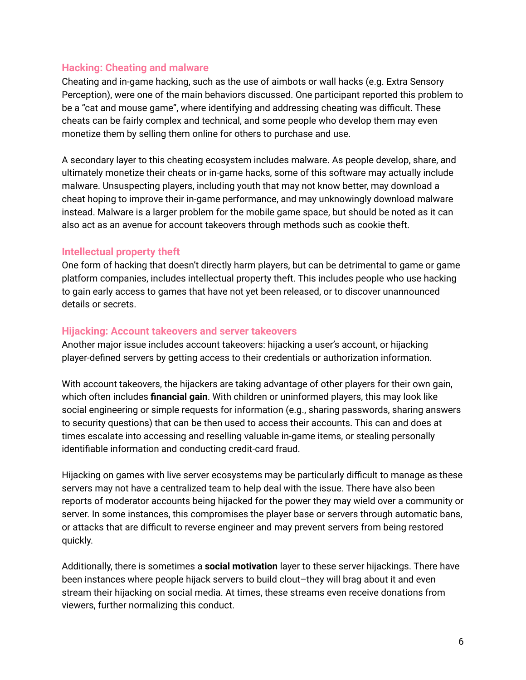#### **Hacking: Cheating and malware**

Cheating and in-game hacking, such as the use of aimbots or wall hacks (e.g. Extra Sensory Perception), were one of the main behaviors discussed. One participant reported this problem to be a "cat and mouse game", where identifying and addressing cheating was difficult. These cheats can be fairly complex and technical, and some people who develop them may even monetize them by selling them online for others to purchase and use.

A secondary layer to this cheating ecosystem includes malware. As people develop, share, and ultimately monetize their cheats or in-game hacks, some of this software may actually include malware. Unsuspecting players, including youth that may not know better, may download a cheat hoping to improve their in-game performance, and may unknowingly download malware instead. Malware is a larger problem for the mobile game space, but should be noted as it can also act as an avenue for account takeovers through methods such as cookie theft.

#### **Intellectual property theft**

One form of hacking that doesn't directly harm players, but can be detrimental to game or game platform companies, includes intellectual property theft. This includes people who use hacking to gain early access to games that have not yet been released, or to discover unannounced details or secrets.

#### **Hijacking: Account takeovers and server takeovers**

Another major issue includes account takeovers: hijacking a user's account, or hijacking player-defined servers by getting access to their credentials or authorization information.

With account takeovers, the hijackers are taking advantage of other players for their own gain, which often includes **financial gain**. With children or uninformed players, this may look like social engineering or simple requests for information (e.g., sharing passwords, sharing answers to security questions) that can be then used to access their accounts. This can and does at times escalate into accessing and reselling valuable in-game items, or stealing personally identifiable information and conducting credit-card fraud.

Hijacking on games with live server ecosystems may be particularly difficult to manage as these servers may not have a centralized team to help deal with the issue. There have also been reports of moderator accounts being hijacked for the power they may wield over a community or server. In some instances, this compromises the player base or servers through automatic bans, or attacks that are difficult to reverse engineer and may prevent servers from being restored quickly.

Additionally, there is sometimes a **social motivation** layer to these server hijackings. There have been instances where people hijack servers to build clout–they will brag about it and even stream their hijacking on social media. At times, these streams even receive donations from viewers, further normalizing this conduct.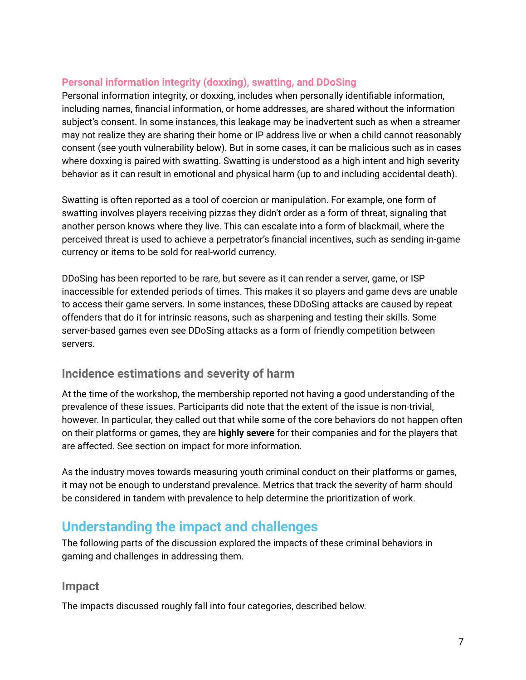#### **Personal information integrity (doxxing), swatting, and DDoSing**

Personal information integrity, or doxxing, includes when personally identifiable information, including names, financial information, or home addresses, are shared without the information subject's consent. In some instances, this leakage may be inadvertent such as when a streamer may not realize they are sharing their home or IP address live or when a child cannot reasonably consent (see youth vulnerability below). But in some cases, it can be malicious such as in cases where doxxing is paired with swatting. Swatting is understood as a high intent and high severity behavior as it can result in emotional and physical harm (up to and including accidental death).

Swatting is often reported as a tool of coercion or manipulation. For example, one form of swatting involves players receiving pizzas they didn't order as a form of threat, signaling that another person knows where they live. This can escalate into a form of blackmail, where the perceived threat is used to achieve a perpetrator's financial incentives, such as sending in-game currency or items to be sold for real-world currency.

DDoSing has been reported to be rare, but severe as it can render a server, game, or ISP inaccessible for extended periods of times. This makes it so players and game devs are unable to access their game servers. In some instances, these DDoSing attacks are caused by repeat offenders that do it for intrinsic reasons, such as sharpening and testing their skills. Some server-based games even see DDoSing attacks as a form of friendly competition between servers.

#### **Incidence estimations and severity of harm**

At the time of the workshop, the membership reported not having a good understanding of the prevalence of these issues. Participants did note that the extent of the issue is non-trivial, however. In particular, they called out that while some of the core behaviors do not happen often on their platforms or games, they are **highly severe** for their companies and for the players that are affected. See section on impact for more information.

As the industry moves towards measuring youth criminal conduct on their platforms or games, it may not be enough to understand prevalence. Metrics that track the severity of harm should be considered in tandem with prevalence to help determine the prioritization of work.

## **Understanding the impact and challenges**

The following parts of the discussion explored the impacts of these criminal behaviors in gaming and challenges in addressing them.

#### **Impact**

The impacts discussed roughly fall into four categories, described below.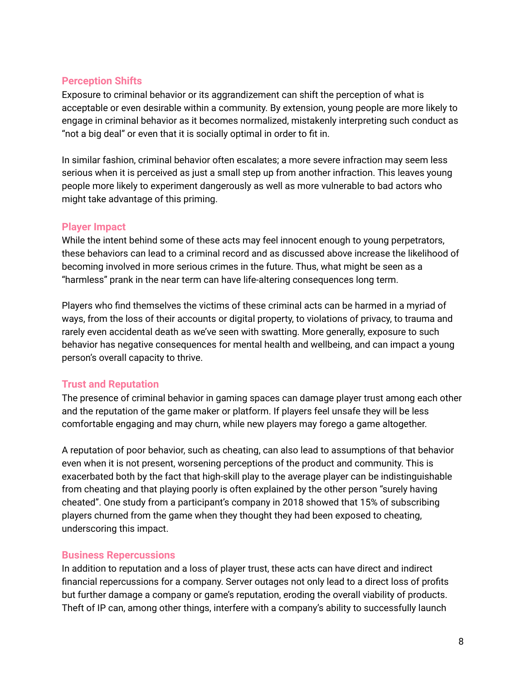#### **Perception Shifts**

Exposure to criminal behavior or its aggrandizement can shift the perception of what is acceptable or even desirable within a community. By extension, young people are more likely to engage in criminal behavior as it becomes normalized, mistakenly interpreting such conduct as "not a big deal" or even that it is socially optimal in order to fit in.

In similar fashion, criminal behavior often escalates; a more severe infraction may seem less serious when it is perceived as just a small step up from another infraction. This leaves young people more likely to experiment dangerously as well as more vulnerable to bad actors who might take advantage of this priming.

#### **Player Impact**

While the intent behind some of these acts may feel innocent enough to young perpetrators, these behaviors can lead to a criminal record and as discussed above increase the likelihood of becoming involved in more serious crimes in the future. Thus, what might be seen as a "harmless" prank in the near term can have life-altering consequences long term.

Players who find themselves the victims of these criminal acts can be harmed in a myriad of ways, from the loss of their accounts or digital property, to violations of privacy, to trauma and rarely even accidental death as we've seen with swatting. More generally, exposure to such behavior has negative consequences for mental health and wellbeing, and can impact a young person's overall capacity to thrive.

#### **Trust and Reputation**

The presence of criminal behavior in gaming spaces can damage player trust among each other and the reputation of the game maker or platform. If players feel unsafe they will be less comfortable engaging and may churn, while new players may forego a game altogether.

A reputation of poor behavior, such as cheating, can also lead to assumptions of that behavior even when it is not present, worsening perceptions of the product and community. This is exacerbated both by the fact that high-skill play to the average player can be indistinguishable from cheating and that playing poorly is often explained by the other person "surely having cheated". One study from a participant's company in 2018 showed that 15% of subscribing players churned from the game when they thought they had been exposed to cheating, underscoring this impact.

#### **Business Repercussions**

In addition to reputation and a loss of player trust, these acts can have direct and indirect financial repercussions for a company. Server outages not only lead to a direct loss of profits but further damage a company or game's reputation, eroding the overall viability of products. Theft of IP can, among other things, interfere with a company's ability to successfully launch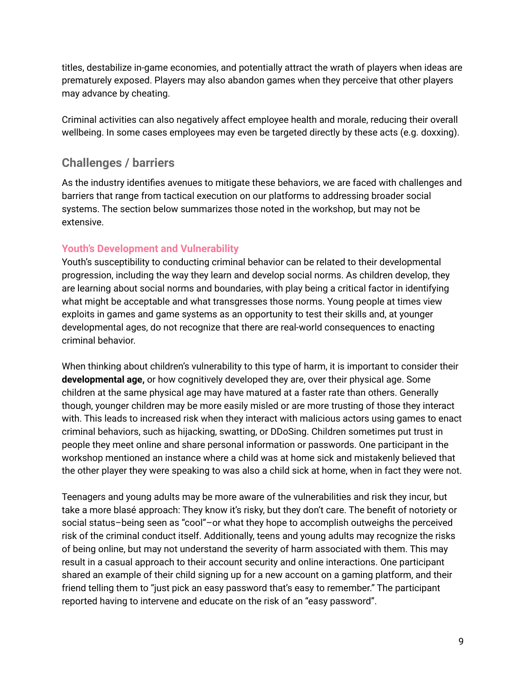titles, destabilize in-game economies, and potentially attract the wrath of players when ideas are prematurely exposed. Players may also abandon games when they perceive that other players may advance by cheating.

Criminal activities can also negatively affect employee health and morale, reducing their overall wellbeing. In some cases employees may even be targeted directly by these acts (e.g. doxxing).

## **Challenges / barriers**

As the industry identifies avenues to mitigate these behaviors, we are faced with challenges and barriers that range from tactical execution on our platforms to addressing broader social systems. The section below summarizes those noted in the workshop, but may not be extensive.

#### **Youth's Development and Vulnerability**

Youth's susceptibility to conducting criminal behavior can be related to their developmental progression, including the way they learn and develop social norms. As children develop, they are learning about social norms and boundaries, with play being a critical factor in identifying what might be acceptable and what transgresses those norms. Young people at times view exploits in games and game systems as an opportunity to test their skills and, at younger developmental ages, do not recognize that there are real-world consequences to enacting criminal behavior.

When thinking about children's vulnerability to this type of harm, it is important to consider their **developmental age,** or how cognitively developed they are, over their physical age. Some children at the same physical age may have matured at a faster rate than others. Generally though, younger children may be more easily misled or are more trusting of those they interact with. This leads to increased risk when they interact with malicious actors using games to enact criminal behaviors, such as hijacking, swatting, or DDoSing. Children sometimes put trust in people they meet online and share personal information or passwords. One participant in the workshop mentioned an instance where a child was at home sick and mistakenly believed that the other player they were speaking to was also a child sick at home, when in fact they were not.

Teenagers and young adults may be more aware of the vulnerabilities and risk they incur, but take a more blasé approach: They know it's risky, but they don't care. The benefit of notoriety or social status–being seen as "cool"–or what they hope to accomplish outweighs the perceived risk of the criminal conduct itself. Additionally, teens and young adults may recognize the risks of being online, but may not understand the severity of harm associated with them. This may result in a casual approach to their account security and online interactions. One participant shared an example of their child signing up for a new account on a gaming platform, and their friend telling them to "just pick an easy password that's easy to remember." The participant reported having to intervene and educate on the risk of an "easy password".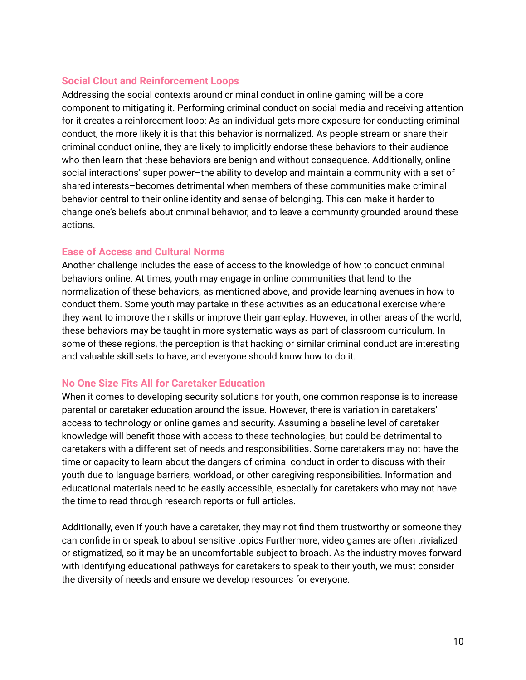#### **Social Clout and Reinforcement Loops**

Addressing the social contexts around criminal conduct in online gaming will be a core component to mitigating it. Performing criminal conduct on social media and receiving attention for it creates a reinforcement loop: As an individual gets more exposure for conducting criminal conduct, the more likely it is that this behavior is normalized. As people stream or share their criminal conduct online, they are likely to implicitly endorse these behaviors to their audience who then learn that these behaviors are benign and without consequence. Additionally, online social interactions' super power–the ability to develop and maintain a community with a set of shared interests–becomes detrimental when members of these communities make criminal behavior central to their online identity and sense of belonging. This can make it harder to change one's beliefs about criminal behavior, and to leave a community grounded around these actions.

#### **Ease of Access and Cultural Norms**

Another challenge includes the ease of access to the knowledge of how to conduct criminal behaviors online. At times, youth may engage in online communities that lend to the normalization of these behaviors, as mentioned above, and provide learning avenues in how to conduct them. Some youth may partake in these activities as an educational exercise where they want to improve their skills or improve their gameplay. However, in other areas of the world, these behaviors may be taught in more systematic ways as part of classroom curriculum. In some of these regions, the perception is that hacking or similar criminal conduct are interesting and valuable skill sets to have, and everyone should know how to do it.

#### **No One Size Fits All for Caretaker Education**

When it comes to developing security solutions for youth, one common response is to increase parental or caretaker education around the issue. However, there is variation in caretakers' access to technology or online games and security. Assuming a baseline level of caretaker knowledge will benefit those with access to these technologies, but could be detrimental to caretakers with a different set of needs and responsibilities. Some caretakers may not have the time or capacity to learn about the dangers of criminal conduct in order to discuss with their youth due to language barriers, workload, or other caregiving responsibilities. Information and educational materials need to be easily accessible, especially for caretakers who may not have the time to read through research reports or full articles.

Additionally, even if youth have a caretaker, they may not find them trustworthy or someone they can confide in or speak to about sensitive topics Furthermore, video games are often trivialized or stigmatized, so it may be an uncomfortable subject to broach. As the industry moves forward with identifying educational pathways for caretakers to speak to their youth, we must consider the diversity of needs and ensure we develop resources for everyone.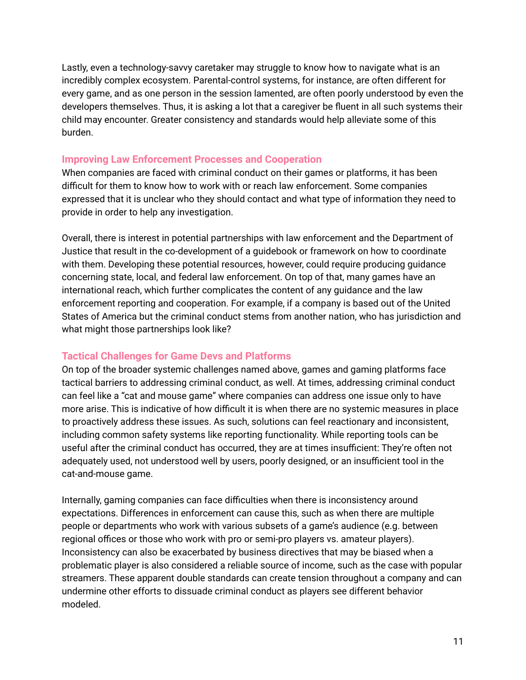Lastly, even a technology-savvy caretaker may struggle to know how to navigate what is an incredibly complex ecosystem. Parental-control systems, for instance, are often different for every game, and as one person in the session lamented, are often poorly understood by even the developers themselves. Thus, it is asking a lot that a caregiver be fluent in all such systems their child may encounter. Greater consistency and standards would help alleviate some of this burden.

#### **Improving Law Enforcement Processes and Cooperation**

When companies are faced with criminal conduct on their games or platforms, it has been difficult for them to know how to work with or reach law enforcement. Some companies expressed that it is unclear who they should contact and what type of information they need to provide in order to help any investigation.

Overall, there is interest in potential partnerships with law enforcement and the Department of Justice that result in the co-development of a guidebook or framework on how to coordinate with them. Developing these potential resources, however, could require producing guidance concerning state, local, and federal law enforcement. On top of that, many games have an international reach, which further complicates the content of any guidance and the law enforcement reporting and cooperation. For example, if a company is based out of the United States of America but the criminal conduct stems from another nation, who has jurisdiction and what might those partnerships look like?

#### **Tactical Challenges for Game Devs and Platforms**

On top of the broader systemic challenges named above, games and gaming platforms face tactical barriers to addressing criminal conduct, as well. At times, addressing criminal conduct can feel like a "cat and mouse game" where companies can address one issue only to have more arise. This is indicative of how difficult it is when there are no systemic measures in place to proactively address these issues. As such, solutions can feel reactionary and inconsistent, including common safety systems like reporting functionality. While reporting tools can be useful after the criminal conduct has occurred, they are at times insufficient: They're often not adequately used, not understood well by users, poorly designed, or an insufficient tool in the cat-and-mouse game.

Internally, gaming companies can face difficulties when there is inconsistency around expectations. Differences in enforcement can cause this, such as when there are multiple people or departments who work with various subsets of a game's audience (e.g. between regional offices or those who work with pro or semi-pro players vs. amateur players). Inconsistency can also be exacerbated by business directives that may be biased when a problematic player is also considered a reliable source of income, such as the case with popular streamers. These apparent double standards can create tension throughout a company and can undermine other efforts to dissuade criminal conduct as players see different behavior modeled.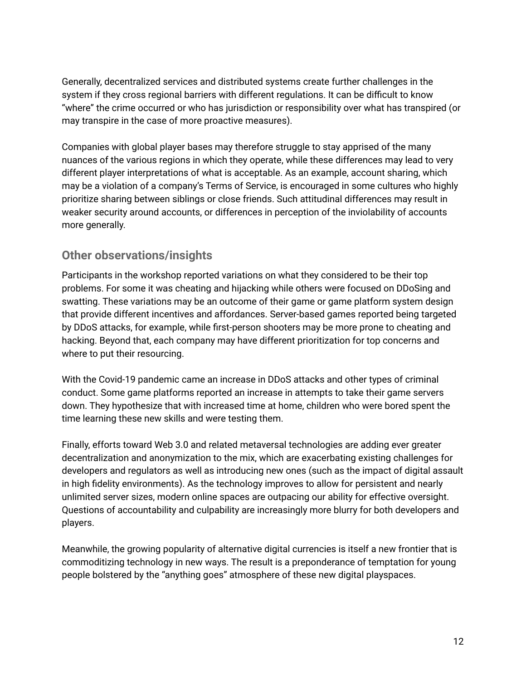Generally, decentralized services and distributed systems create further challenges in the system if they cross regional barriers with different regulations. It can be difficult to know "where" the crime occurred or who has jurisdiction or responsibility over what has transpired (or may transpire in the case of more proactive measures).

Companies with global player bases may therefore struggle to stay apprised of the many nuances of the various regions in which they operate, while these differences may lead to very different player interpretations of what is acceptable. As an example, account sharing, which may be a violation of a company's Terms of Service, is encouraged in some cultures who highly prioritize sharing between siblings or close friends. Such attitudinal differences may result in weaker security around accounts, or differences in perception of the inviolability of accounts more generally.

### **Other observations/insights**

Participants in the workshop reported variations on what they considered to be their top problems. For some it was cheating and hijacking while others were focused on DDoSing and swatting. These variations may be an outcome of their game or game platform system design that provide different incentives and affordances. Server-based games reported being targeted by DDoS attacks, for example, while first-person shooters may be more prone to cheating and hacking. Beyond that, each company may have different prioritization for top concerns and where to put their resourcing.

With the Covid-19 pandemic came an increase in DDoS attacks and other types of criminal conduct. Some game platforms reported an increase in attempts to take their game servers down. They hypothesize that with increased time at home, children who were bored spent the time learning these new skills and were testing them.

Finally, efforts toward Web 3.0 and related metaversal technologies are adding ever greater decentralization and anonymization to the mix, which are exacerbating existing challenges for developers and regulators as well as introducing new ones (such as the impact of digital assault in high fidelity environments). As the technology improves to allow for persistent and nearly unlimited server sizes, modern online spaces are outpacing our ability for effective oversight. Questions of accountability and culpability are increasingly more blurry for both developers and players.

Meanwhile, the growing popularity of alternative digital currencies is itself a new frontier that is commoditizing technology in new ways. The result is a preponderance of temptation for young people bolstered by the "anything goes" atmosphere of these new digital playspaces.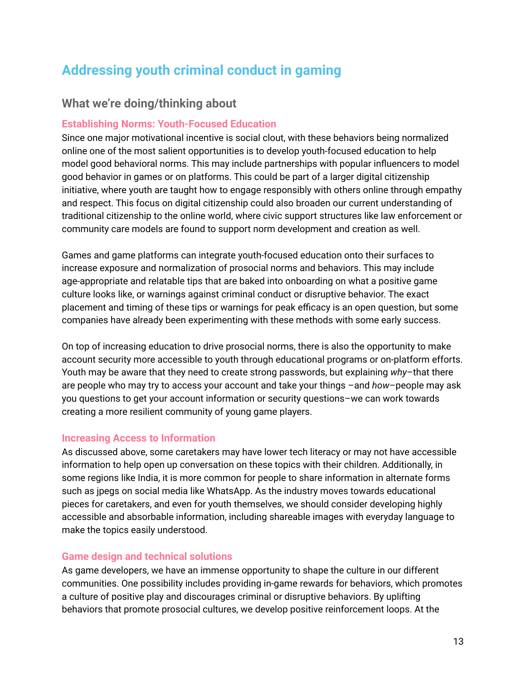## **Addressing youth criminal conduct in gaming**

### **What we're doing/thinking about**

#### **Establishing Norms: Youth-Focused Education**

Since one major motivational incentive is social clout, with these behaviors being normalized online one of the most salient opportunities is to develop youth-focused education to help model good behavioral norms. This may include partnerships with popular influencers to model good behavior in games or on platforms. This could be part of a larger digital citizenship initiative, where youth are taught how to engage responsibly with others online through empathy and respect. This focus on digital citizenship could also broaden our current understanding of traditional citizenship to the online world, where civic support structures like law enforcement or community care models are found to support norm development and creation as well.

Games and game platforms can integrate youth-focused education onto their surfaces to increase exposure and normalization of prosocial norms and behaviors. This may include age-appropriate and relatable tips that are baked into onboarding on what a positive game culture looks like, or warnings against criminal conduct or disruptive behavior. The exact placement and timing of these tips or warnings for peak efficacy is an open question, but some companies have already been experimenting with these methods with some early success.

On top of increasing education to drive prosocial norms, there is also the opportunity to make account security more accessible to youth through educational programs or on-platform efforts. Youth may be aware that they need to create strong passwords, but explaining *why*–that there are people who may try to access your account and take your things –and *how*–people may ask you questions to get your account information or security questions–we can work towards creating a more resilient community of young game players.

#### **Increasing Access to Information**

As discussed above, some caretakers may have lower tech literacy or may not have accessible information to help open up conversation on these topics with their children. Additionally, in some regions like India, it is more common for people to share information in alternate forms such as jpegs on social media like WhatsApp. As the industry moves towards educational pieces for caretakers, and even for youth themselves, we should consider developing highly accessible and absorbable information, including shareable images with everyday language to make the topics easily understood.

#### **Game design and technical solutions**

As game developers, we have an immense opportunity to shape the culture in our different communities. One possibility includes providing in-game rewards for behaviors, which promotes a culture of positive play and discourages criminal or disruptive behaviors. By uplifting behaviors that promote prosocial cultures, we develop positive reinforcement loops. At the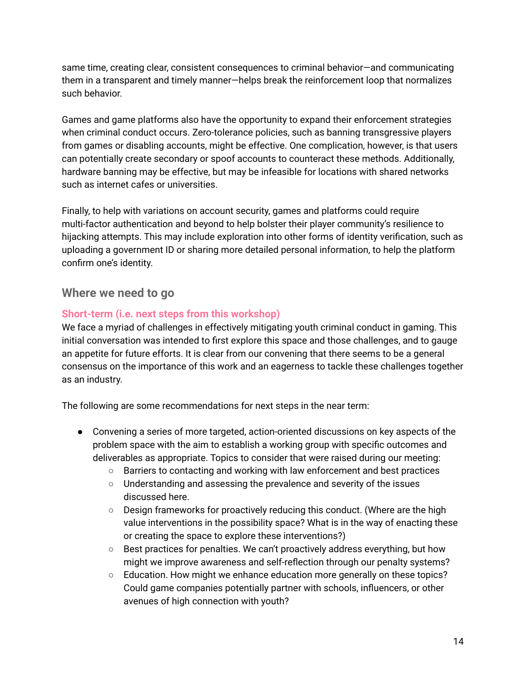same time, creating clear, consistent consequences to criminal behavior—and communicating them in a transparent and timely manner—helps break the reinforcement loop that normalizes such behavior.

Games and game platforms also have the opportunity to expand their enforcement strategies when criminal conduct occurs. Zero-tolerance policies, such as banning transgressive players from games or disabling accounts, might be effective. One complication, however, is that users can potentially create secondary or spoof accounts to counteract these methods. Additionally, hardware banning may be effective, but may be infeasible for locations with shared networks such as internet cafes or universities.

Finally, to help with variations on account security, games and platforms could require multi-factor authentication and beyond to help bolster their player community's resilience to hijacking attempts. This may include exploration into other forms of identity verification, such as uploading a government ID or sharing more detailed personal information, to help the platform confirm one's identity.

#### **Where we need to go**

#### **Short-term (i.e. next steps from this workshop)**

We face a myriad of challenges in effectively mitigating youth criminal conduct in gaming. This initial conversation was intended to first explore this space and those challenges, and to gauge an appetite for future efforts. It is clear from our convening that there seems to be a general consensus on the importance of this work and an eagerness to tackle these challenges together as an industry.

The following are some recommendations for next steps in the near term:

- Convening a series of more targeted, action-oriented discussions on key aspects of the problem space with the aim to establish a working group with specific outcomes and deliverables as appropriate. Topics to consider that were raised during our meeting:
	- Barriers to contacting and working with law enforcement and best practices
	- Understanding and assessing the prevalence and severity of the issues discussed here.
	- Design frameworks for proactively reducing this conduct. (Where are the high value interventions in the possibility space? What is in the way of enacting these or creating the space to explore these interventions?)
	- $\circ$  Best practices for penalties. We can't proactively address everything, but how might we improve awareness and self-reflection through our penalty systems?
	- Education. How might we enhance education more generally on these topics? Could game companies potentially partner with schools, influencers, or other avenues of high connection with youth?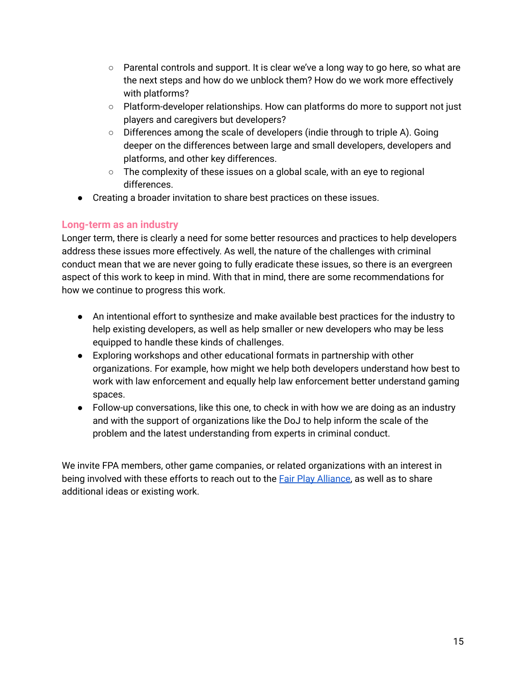- $\circ$  Parental controls and support. It is clear we've a long way to go here, so what are the next steps and how do we unblock them? How do we work more effectively with platforms?
- Platform-developer relationships. How can platforms do more to support not just players and caregivers but developers?
- $\circ$  Differences among the scale of developers (indie through to triple A). Going deeper on the differences between large and small developers, developers and platforms, and other key differences.
- The complexity of these issues on a global scale, with an eye to regional differences.
- Creating a broader invitation to share best practices on these issues.

#### **Long-term as an industry**

Longer term, there is clearly a need for some better resources and practices to help developers address these issues more effectively. As well, the nature of the challenges with criminal conduct mean that we are never going to fully eradicate these issues, so there is an evergreen aspect of this work to keep in mind. With that in mind, there are some recommendations for how we continue to progress this work.

- An intentional effort to synthesize and make available best practices for the industry to help existing developers, as well as help smaller or new developers who may be less equipped to handle these kinds of challenges.
- Exploring workshops and other educational formats in partnership with other organizations. For example, how might we help both developers understand how best to work with law enforcement and equally help law enforcement better understand gaming spaces.
- Follow-up conversations, like this one, to check in with how we are doing as an industry and with the support of organizations like the DoJ to help inform the scale of the problem and the latest understanding from experts in criminal conduct.

We invite FPA members, other game companies, or related organizations with an interest in being involved with these efforts to reach out to the Fair Play [Alliance](https://fairplayalliance.org/contact/), as well as to share additional ideas or existing work.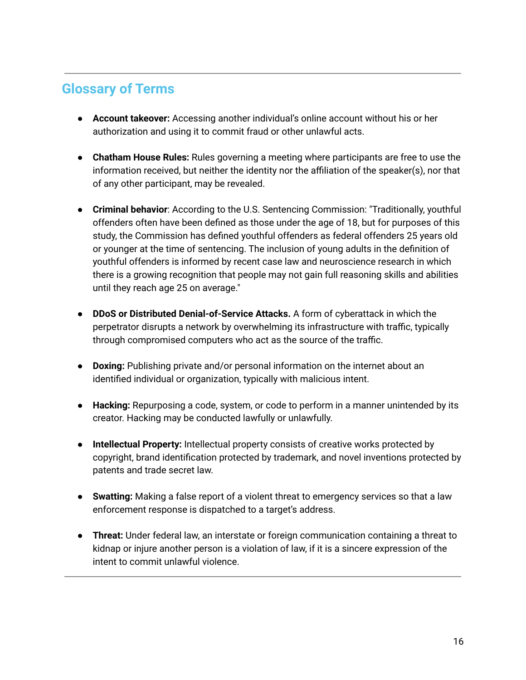## **Glossary of Terms**

- **Account takeover:** Accessing another individual's online account without his or her authorization and using it to commit fraud or other unlawful acts.
- **Chatham House Rules:** Rules governing a meeting where participants are free to use the information received, but neither the identity nor the affiliation of the speaker(s), nor that of any other participant, may be revealed.
- **● Criminal behavior**: According to the U.S. Sentencing Commission: "Traditionally, youthful offenders often have been defined as those under the age of 18, but for purposes of this study, the Commission has defined youthful offenders as federal offenders 25 years old or younger at the time of sentencing. The inclusion of young adults in the definition of youthful offenders is informed by recent case law and neuroscience research in which there is a growing recognition that people may not gain full reasoning skills and abilities until they reach age 25 on average."
- **● DDoS or Distributed Denial-of-Service Attacks.** A form of cyberattack in which the perpetrator disrupts a network by overwhelming its infrastructure with traffic, typically through compromised computers who act as the source of the traffic.
- **Doxing:** Publishing private and/or personal information on the internet about an identified individual or organization, typically with malicious intent.
- **Hacking:** Repurposing a code, system, or code to perform in a manner unintended by its creator. Hacking may be conducted lawfully or unlawfully.
- **Intellectual Property:** Intellectual property consists of creative works protected by copyright, brand identification protected by trademark, and novel inventions protected by patents and trade secret law.
- **Swatting:** Making a false report of a violent threat to emergency services so that a law enforcement response is dispatched to a target's address.
- **Threat:** Under federal law, an interstate or foreign communication containing a threat to kidnap or injure another person is a violation of law, if it is a sincere expression of the intent to commit unlawful violence.